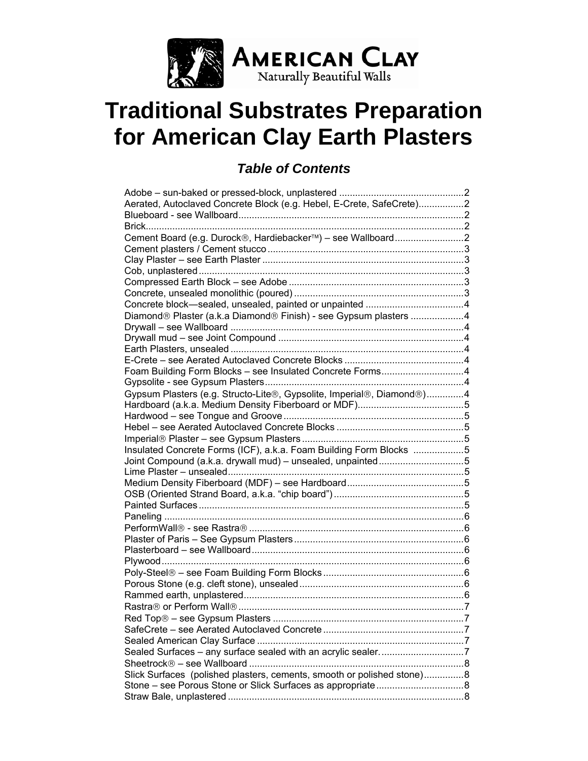

# **Traditional Substrates Preparation for American Clay Earth Plasters**

# *Table of Contents*

| Aerated, Autoclaved Concrete Block (e.g. Hebel, E-Crete, SafeCrete)2   |  |
|------------------------------------------------------------------------|--|
|                                                                        |  |
| Brick                                                                  |  |
| Cement Board (e.g. Durock®, Hardiebacker™) - see Wallboard2            |  |
|                                                                        |  |
|                                                                        |  |
|                                                                        |  |
|                                                                        |  |
|                                                                        |  |
|                                                                        |  |
|                                                                        |  |
| Diamond® Plaster (a.k.a Diamond® Finish) - see Gypsum plasters 4       |  |
|                                                                        |  |
|                                                                        |  |
|                                                                        |  |
|                                                                        |  |
| Foam Building Form Blocks - see Insulated Concrete Forms4              |  |
|                                                                        |  |
|                                                                        |  |
| Gypsum Plasters (e.g. Structo-Lite®, Gypsolite, Imperial®, Diamond®)4  |  |
|                                                                        |  |
|                                                                        |  |
|                                                                        |  |
|                                                                        |  |
| Insulated Concrete Forms (ICF), a.k.a. Foam Building Form Blocks 5     |  |
| Joint Compound (a.k.a. drywall mud) - unsealed, unpainted5             |  |
|                                                                        |  |
|                                                                        |  |
|                                                                        |  |
|                                                                        |  |
|                                                                        |  |
|                                                                        |  |
|                                                                        |  |
|                                                                        |  |
|                                                                        |  |
|                                                                        |  |
|                                                                        |  |
|                                                                        |  |
|                                                                        |  |
|                                                                        |  |
|                                                                        |  |
|                                                                        |  |
|                                                                        |  |
|                                                                        |  |
| Sealed Surfaces - any surface sealed with an acrylic sealer7           |  |
|                                                                        |  |
| Slick Surfaces (polished plasters, cements, smooth or polished stone)8 |  |
|                                                                        |  |
|                                                                        |  |
|                                                                        |  |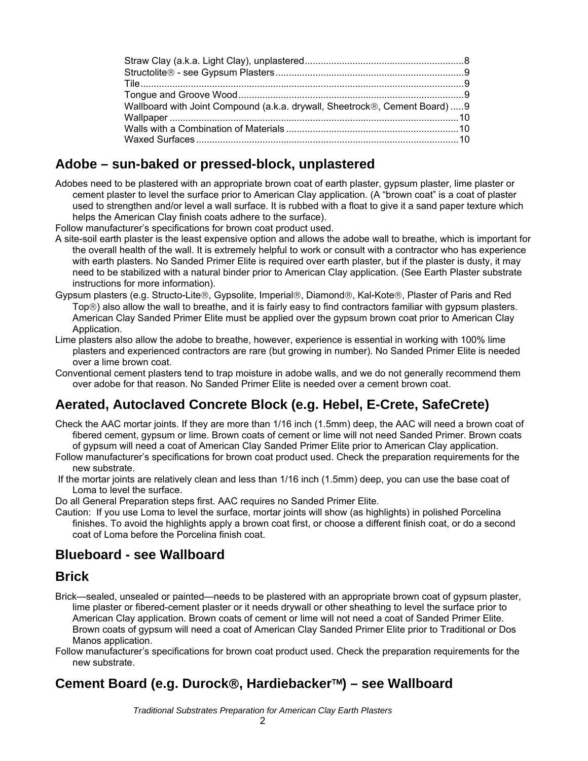<span id="page-1-0"></span>

| Wallboard with Joint Compound (a.k.a. drywall, Sheetrock®, Cement Board)  9 |  |
|-----------------------------------------------------------------------------|--|
|                                                                             |  |
|                                                                             |  |
|                                                                             |  |

#### **Adobe – sun-baked or pressed-block, unplastered**

Adobes need to be plastered with an appropriate brown coat of earth plaster, gypsum plaster, lime plaster or cement plaster to level the surface prior to American Clay application. (A "brown coat" is a coat of plaster used to strengthen and/or level a wall surface. It is rubbed with a float to give it a sand paper texture which helps the American Clay finish coats adhere to the surface).

Follow manufacturer's specifications for brown coat product used.

- A site-soil earth plaster is the least expensive option and allows the adobe wall to breathe, which is important for the overall health of the wall. It is extremely helpful to work or consult with a contractor who has experience with earth plasters. No Sanded Primer Elite is required over earth plaster, but if the plaster is dusty, it may need to be stabilized with a natural binder prior to American Clay application. (See Earth Plaster substrate instructions for more information).
- Gypsum plasters (e.g. Structo-Lite®, Gypsolite, Imperial®, Diamond®, Kal-Kote®, Plaster of Paris and Red Top®) also allow the wall to breathe, and it is fairly easy to find contractors familiar with gypsum plasters. American Clay Sanded Primer Elite must be applied over the gypsum brown coat prior to American Clay Application.
- Lime plasters also allow the adobe to breathe, however, experience is essential in working with 100% lime plasters and experienced contractors are rare (but growing in number). No Sanded Primer Elite is needed over a lime brown coat.
- Conventional cement plasters tend to trap moisture in adobe walls, and we do not generally recommend them over adobe for that reason. No Sanded Primer Elite is needed over a cement brown coat.

## **Aerated, Autoclaved Concrete Block (e.g. Hebel, E-Crete, SafeCrete)**

- Check the AAC mortar joints. If they are more than 1/16 inch (1.5mm) deep, the AAC will need a brown coat of fibered cement, gypsum or lime. Brown coats of cement or lime will not need Sanded Primer. Brown coats of gypsum will need a coat of American Clay Sanded Primer Elite prior to American Clay application.
- Follow manufacturer's specifications for brown coat product used. Check the preparation requirements for the new substrate.
- If the mortar joints are relatively clean and less than 1/16 inch (1.5mm) deep, you can use the base coat of Loma to level the surface.
- Do all General Preparation steps first. AAC requires no Sanded Primer Elite.
- Caution: If you use Loma to level the surface, mortar joints will show (as highlights) in polished Porcelina finishes. To avoid the highlights apply a brown coat first, or choose a different finish coat, or do a second coat of Loma before the Porcelina finish coat.

#### **Blueboard - see Wallboard**

#### **Brick**

- Brick—sealed, unsealed or painted—needs to be plastered with an appropriate brown coat of gypsum plaster, lime plaster or fibered-cement plaster or it needs drywall or other sheathing to level the surface prior to American Clay application. Brown coats of cement or lime will not need a coat of Sanded Primer Elite. Brown coats of gypsum will need a coat of American Clay Sanded Primer Elite prior to Traditional or Dos Manos application.
- Follow manufacturer's specifications for brown coat product used. Check the preparation requirements for the new substrate.

## **Cement Board (e.g. Durock**®**, Hardiebacker**™**) – see Wallboard**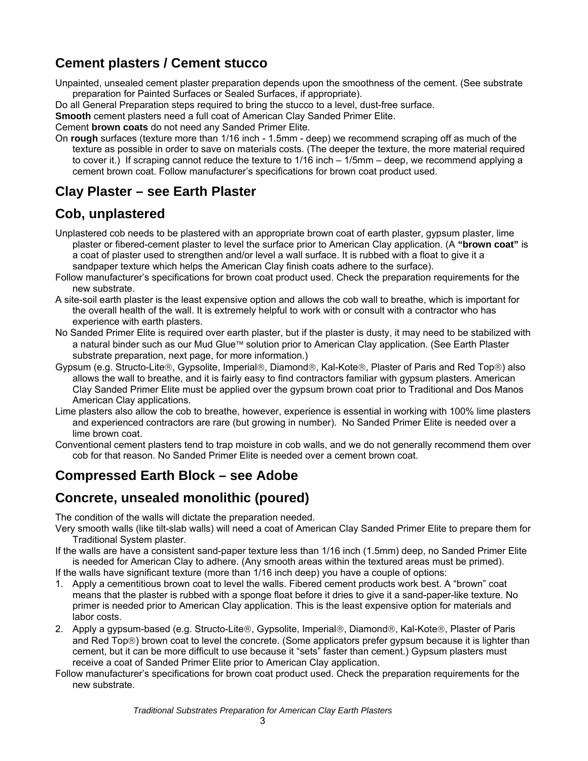## <span id="page-2-0"></span>**Cement plasters / Cement stucco**

Unpainted, unsealed cement plaster preparation depends upon the smoothness of the cement. (See substrate preparation for Painted Surfaces or Sealed Surfaces, if appropriate).

Do all General Preparation steps required to bring the stucco to a level, dust-free surface.

**Smooth** cement plasters need a full coat of American Clay Sanded Primer Elite.

Cement **brown coats** do not need any Sanded Primer Elite.

On **rough** surfaces (texture more than 1/16 inch - 1.5mm - deep) we recommend scraping off as much of the texture as possible in order to save on materials costs. (The deeper the texture, the more material required to cover it.) If scraping cannot reduce the texture to 1/16 inch – 1/5mm – deep, we recommend applying a cement brown coat. Follow manufacturer's specifications for brown coat product used.

#### **Clay Plaster – see Earth Plaster**

#### **Cob, unplastered**

- Unplastered cob needs to be plastered with an appropriate brown coat of earth plaster, gypsum plaster, lime plaster or fibered-cement plaster to level the surface prior to American Clay application. (A **"brown coat"** is a coat of plaster used to strengthen and/or level a wall surface. It is rubbed with a float to give it a sandpaper texture which helps the American Clay finish coats adhere to the surface).
- Follow manufacturer's specifications for brown coat product used. Check the preparation requirements for the new substrate.
- A site-soil earth plaster is the least expensive option and allows the cob wall to breathe, which is important for the overall health of the wall. It is extremely helpful to work with or consult with a contractor who has experience with earth plasters.
- No Sanded Primer Elite is required over earth plaster, but if the plaster is dusty, it may need to be stabilized with a natural binder such as our Mud Glue™ solution prior to American Clay application. (See Earth Plaster substrate preparation, next page, for more information.)
- Gypsum (e.g. Structo-Lite®, Gypsolite, Imperial®, Diamond®, Kal-Kote®, Plaster of Paris and Red Top®) also allows the wall to breathe, and it is fairly easy to find contractors familiar with gypsum plasters. American Clay Sanded Primer Elite must be applied over the gypsum brown coat prior to Traditional and Dos Manos American Clay applications.
- Lime plasters also allow the cob to breathe, however, experience is essential in working with 100% lime plasters and experienced contractors are rare (but growing in number). No Sanded Primer Elite is needed over a lime brown coat.
- Conventional cement plasters tend to trap moisture in cob walls, and we do not generally recommend them over cob for that reason. No Sanded Primer Elite is needed over a cement brown coat.

## **Compressed Earth Block – see Adobe**

#### **Concrete, unsealed monolithic (poured)**

The condition of the walls will dictate the preparation needed.

Very smooth walls (like tilt-slab walls) will need a coat of American Clay Sanded Primer Elite to prepare them for Traditional System plaster.

If the walls are have a consistent sand-paper texture less than 1/16 inch (1.5mm) deep, no Sanded Primer Elite is needed for American Clay to adhere. (Any smooth areas within the textured areas must be primed).

If the walls have significant texture (more than 1/16 inch deep) you have a couple of options:

- 1. Apply a cementitious brown coat to level the walls. Fibered cement products work best. A "brown" coat means that the plaster is rubbed with a sponge float before it dries to give it a sand-paper-like texture. No primer is needed prior to American Clay application. This is the least expensive option for materials and labor costs.
- 2. Apply a gypsum-based (e.g. Structo-Lite®, Gypsolite, Imperial®, Diamond®, Kal-Kote®, Plaster of Paris and Red Top®) brown coat to level the concrete. (Some applicators prefer gypsum because it is lighter than cement, but it can be more difficult to use because it "sets" faster than cement.) Gypsum plasters must receive a coat of Sanded Primer Elite prior to American Clay application.
- Follow manufacturer's specifications for brown coat product used. Check the preparation requirements for the new substrate.

*Traditional Substrates Preparation for American Clay Earth Plasters*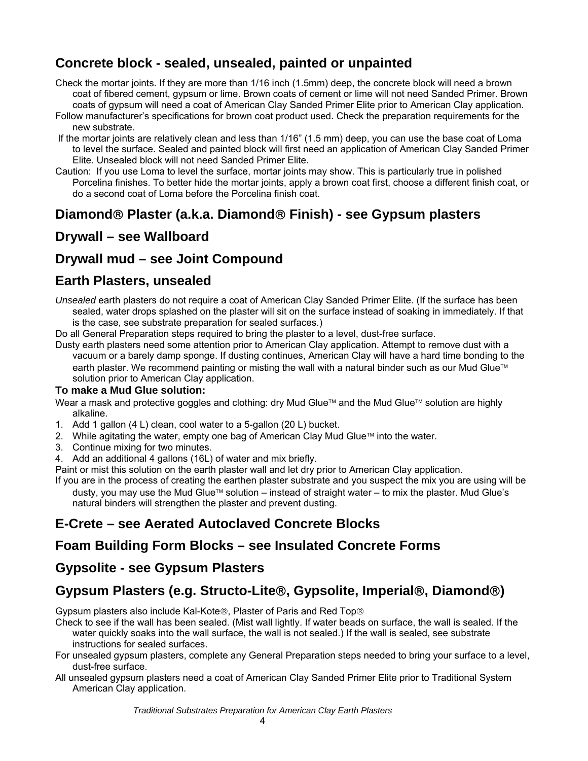## <span id="page-3-0"></span>**Concrete block - sealed, unsealed, painted or unpainted**

- Check the mortar joints. If they are more than 1/16 inch (1.5mm) deep, the concrete block will need a brown coat of fibered cement, gypsum or lime. Brown coats of cement or lime will not need Sanded Primer. Brown coats of gypsum will need a coat of American Clay Sanded Primer Elite prior to American Clay application.
- Follow manufacturer's specifications for brown coat product used. Check the preparation requirements for the new substrate.
- If the mortar joints are relatively clean and less than 1/16" (1.5 mm) deep, you can use the base coat of Loma to level the surface. Sealed and painted block will first need an application of American Clay Sanded Primer Elite. Unsealed block will not need Sanded Primer Elite.
- Caution: If you use Loma to level the surface, mortar joints may show. This is particularly true in polished Porcelina finishes. To better hide the mortar joints, apply a brown coat first, choose a different finish coat, or do a second coat of Loma before the Porcelina finish coat.

#### **Diamond**® **Plaster (a.k.a. Diamond**® **Finish) - see Gypsum plasters**

#### **Drywall – see Wallboard**

#### **Drywall mud – see Joint Compound**

#### **Earth Plasters, unsealed**

- *Unsealed* earth plasters do not require a coat of American Clay Sanded Primer Elite. (If the surface has been sealed, water drops splashed on the plaster will sit on the surface instead of soaking in immediately. If that is the case, see substrate preparation for sealed surfaces.)
- Do all General Preparation steps required to bring the plaster to a level, dust-free surface.
- Dusty earth plasters need some attention prior to American Clay application. Attempt to remove dust with a vacuum or a barely damp sponge. If dusting continues, American Clay will have a hard time bonding to the earth plaster. We recommend painting or misting the wall with a natural binder such as our Mud Glue™ solution prior to American Clay application.

#### **To make a Mud Glue solution:**

Wear a mask and protective goggles and clothing: dry Mud Glue™ and the Mud Glue™ solution are highly alkaline.

- 1. Add 1 gallon (4 L) clean, cool water to a 5-gallon (20 L) bucket.
- 2. While agitating the water, empty one bag of American Clay Mud Glue™ into the water.
- 3. Continue mixing for two minutes.
- 4. Add an additional 4 gallons (16L) of water and mix briefly.
- Paint or mist this solution on the earth plaster wall and let dry prior to American Clay application.
- If you are in the process of creating the earthen plaster substrate and you suspect the mix you are using will be dusty, you may use the Mud Glue™ solution – instead of straight water – to mix the plaster. Mud Glue's natural binders will strengthen the plaster and prevent dusting.

## **E-Crete – see Aerated Autoclaved Concrete Blocks**

#### **Foam Building Form Blocks – see Insulated Concrete Forms**

#### **Gypsolite - see Gypsum Plasters**

## **Gypsum Plasters (e.g. Structo-Lite**®**, Gypsolite, Imperial**®**, Diamond**®**)**

Gypsum plasters also include Kal-Kote®, Plaster of Paris and Red Top®

Check to see if the wall has been sealed. (Mist wall lightly. If water beads on surface, the wall is sealed. If the water quickly soaks into the wall surface, the wall is not sealed.) If the wall is sealed, see substrate instructions for sealed surfaces.

- For unsealed gypsum plasters, complete any General Preparation steps needed to bring your surface to a level, dust-free surface.
- All unsealed gypsum plasters need a coat of American Clay Sanded Primer Elite prior to Traditional System American Clay application.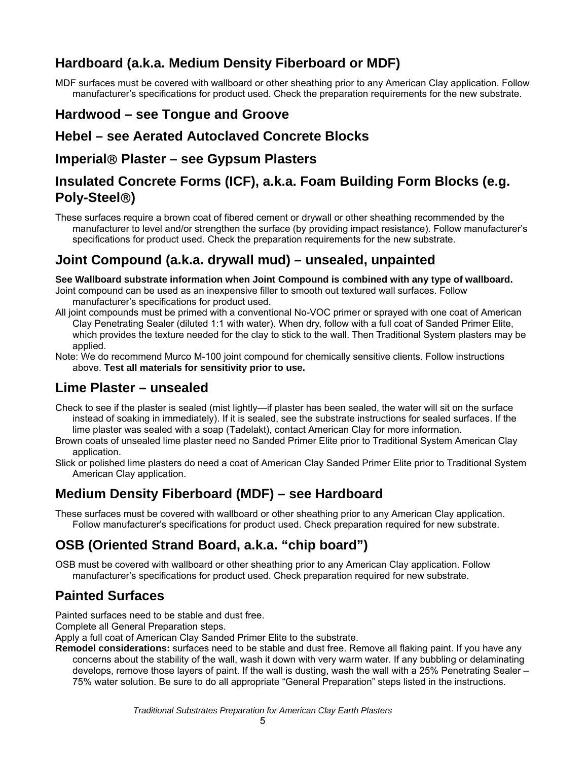## <span id="page-4-0"></span>**Hardboard (a.k.a. Medium Density Fiberboard or MDF)**

MDF surfaces must be covered with wallboard or other sheathing prior to any American Clay application. Follow manufacturer's specifications for product used. Check the preparation requirements for the new substrate.

#### **Hardwood – see Tongue and Groove**

#### **Hebel – see Aerated Autoclaved Concrete Blocks**

#### **Imperial**® **Plaster – see Gypsum Plasters**

#### **Insulated Concrete Forms (ICF), a.k.a. Foam Building Form Blocks (e.g. Poly-Steel**®**)**

These surfaces require a brown coat of fibered cement or drywall or other sheathing recommended by the manufacturer to level and/or strengthen the surface (by providing impact resistance). Follow manufacturer's specifications for product used. Check the preparation requirements for the new substrate.

#### **Joint Compound (a.k.a. drywall mud) – unsealed, unpainted**

**See Wallboard substrate information when Joint Compound is combined with any type of wallboard.** 

- Joint compound can be used as an inexpensive filler to smooth out textured wall surfaces. Follow manufacturer's specifications for product used.
- All joint compounds must be primed with a conventional No-VOC primer or sprayed with one coat of American Clay Penetrating Sealer (diluted 1:1 with water). When dry, follow with a full coat of Sanded Primer Elite, which provides the texture needed for the clay to stick to the wall. Then Traditional System plasters may be applied.
- Note: We do recommend Murco M-100 joint compound for chemically sensitive clients. Follow instructions above. **Test all materials for sensitivity prior to use.**

#### **Lime Plaster – unsealed**

- Check to see if the plaster is sealed (mist lightly—if plaster has been sealed, the water will sit on the surface instead of soaking in immediately). If it is sealed, see the substrate instructions for sealed surfaces. If the lime plaster was sealed with a soap (Tadelakt), contact American Clay for more information.
- Brown coats of unsealed lime plaster need no Sanded Primer Elite prior to Traditional System American Clay application.
- Slick or polished lime plasters do need a coat of American Clay Sanded Primer Elite prior to Traditional System American Clay application.

#### **Medium Density Fiberboard (MDF) – see Hardboard**

These surfaces must be covered with wallboard or other sheathing prior to any American Clay application. Follow manufacturer's specifications for product used. Check preparation required for new substrate.

## **OSB (Oriented Strand Board, a.k.a. "chip board")**

OSB must be covered with wallboard or other sheathing prior to any American Clay application. Follow manufacturer's specifications for product used. Check preparation required for new substrate.

## **Painted Surfaces**

Painted surfaces need to be stable and dust free.

Complete all General Preparation steps.

Apply a full coat of American Clay Sanded Primer Elite to the substrate.

**Remodel considerations:** surfaces need to be stable and dust free. Remove all flaking paint. If you have any concerns about the stability of the wall, wash it down with very warm water. If any bubbling or delaminating develops, remove those layers of paint. If the wall is dusting, wash the wall with a 25% Penetrating Sealer – 75% water solution. Be sure to do all appropriate "General Preparation" steps listed in the instructions.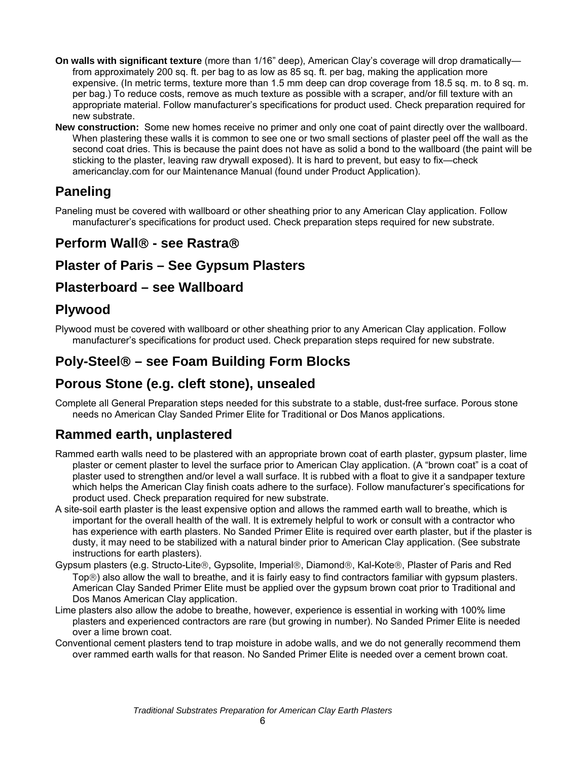- <span id="page-5-0"></span>**On walls with significant texture** (more than 1/16" deep), American Clay's coverage will drop dramatically from approximately 200 sq. ft. per bag to as low as 85 sq. ft. per bag, making the application more expensive. (In metric terms, texture more than 1.5 mm deep can drop coverage from 18.5 sq. m. to 8 sq. m. per bag.) To reduce costs, remove as much texture as possible with a scraper, and/or fill texture with an appropriate material. Follow manufacturer's specifications for product used. Check preparation required for new substrate.
- **New construction:** Some new homes receive no primer and only one coat of paint directly over the wallboard. When plastering these walls it is common to see one or two small sections of plaster peel off the wall as the second coat dries. This is because the paint does not have as solid a bond to the wallboard (the paint will be sticking to the plaster, leaving raw drywall exposed). It is hard to prevent, but easy to fix—check americanclay.com for our Maintenance Manual (found under Product Application).

## **Paneling**

Paneling must be covered with wallboard or other sheathing prior to any American Clay application. Follow manufacturer's specifications for product used. Check preparation steps required for new substrate.

#### **Perform Wall**® **- see Rastra**®

#### **Plaster of Paris – See Gypsum Plasters**

#### **Plasterboard – see Wallboard**

#### **Plywood**

Plywood must be covered with wallboard or other sheathing prior to any American Clay application. Follow manufacturer's specifications for product used. Check preparation steps required for new substrate.

#### **Poly-Steel**® **– see Foam Building Form Blocks**

#### **Porous Stone (e.g. cleft stone), unsealed**

Complete all General Preparation steps needed for this substrate to a stable, dust-free surface. Porous stone needs no American Clay Sanded Primer Elite for Traditional or Dos Manos applications.

#### **Rammed earth, unplastered**

- Rammed earth walls need to be plastered with an appropriate brown coat of earth plaster, gypsum plaster, lime plaster or cement plaster to level the surface prior to American Clay application. (A "brown coat" is a coat of plaster used to strengthen and/or level a wall surface. It is rubbed with a float to give it a sandpaper texture which helps the American Clay finish coats adhere to the surface). Follow manufacturer's specifications for product used. Check preparation required for new substrate.
- A site-soil earth plaster is the least expensive option and allows the rammed earth wall to breathe, which is important for the overall health of the wall. It is extremely helpful to work or consult with a contractor who has experience with earth plasters. No Sanded Primer Elite is required over earth plaster, but if the plaster is dusty, it may need to be stabilized with a natural binder prior to American Clay application. (See substrate instructions for earth plasters).
- Gypsum plasters (e.g. Structo-Lite®, Gypsolite, Imperial®, Diamond®, Kal-Kote®, Plaster of Paris and Red Top®) also allow the wall to breathe, and it is fairly easy to find contractors familiar with gypsum plasters. American Clay Sanded Primer Elite must be applied over the gypsum brown coat prior to Traditional and Dos Manos American Clay application.
- Lime plasters also allow the adobe to breathe, however, experience is essential in working with 100% lime plasters and experienced contractors are rare (but growing in number). No Sanded Primer Elite is needed over a lime brown coat.
- Conventional cement plasters tend to trap moisture in adobe walls, and we do not generally recommend them over rammed earth walls for that reason. No Sanded Primer Elite is needed over a cement brown coat.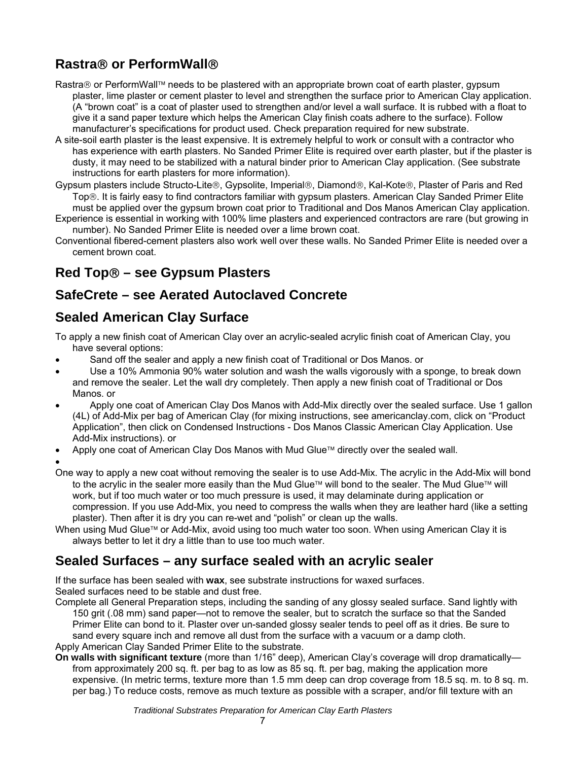# <span id="page-6-0"></span>**Rastra**® **or PerformWall**®

- Rastra® or PerformWall™ needs to be plastered with an appropriate brown coat of earth plaster, gypsum plaster, lime plaster or cement plaster to level and strengthen the surface prior to American Clay application. (A "brown coat" is a coat of plaster used to strengthen and/or level a wall surface. It is rubbed with a float to give it a sand paper texture which helps the American Clay finish coats adhere to the surface). Follow manufacturer's specifications for product used. Check preparation required for new substrate.
- A site-soil earth plaster is the least expensive. It is extremely helpful to work or consult with a contractor who has experience with earth plasters. No Sanded Primer Elite is required over earth plaster, but if the plaster is dusty, it may need to be stabilized with a natural binder prior to American Clay application. (See substrate instructions for earth plasters for more information).
- Gypsum plasters include Structo-Lite®, Gypsolite, Imperial®, Diamond®, Kal-Kote®, Plaster of Paris and Red Top®. It is fairly easy to find contractors familiar with gypsum plasters. American Clay Sanded Primer Elite must be applied over the gypsum brown coat prior to Traditional and Dos Manos American Clay application.
- Experience is essential in working with 100% lime plasters and experienced contractors are rare (but growing in number). No Sanded Primer Elite is needed over a lime brown coat.
- Conventional fibered-cement plasters also work well over these walls. No Sanded Primer Elite is needed over a cement brown coat.

## **Red Top**® **– see Gypsum Plasters**

#### **SafeCrete – see Aerated Autoclaved Concrete**

#### **Sealed American Clay Surface**

To apply a new finish coat of American Clay over an acrylic-sealed acrylic finish coat of American Clay, you have several options:

- Sand off the sealer and apply a new finish coat of Traditional or Dos Manos. or
- Use a 10% Ammonia 90% water solution and wash the walls vigorously with a sponge, to break down and remove the sealer. Let the wall dry completely. Then apply a new finish coat of Traditional or Dos Manos. or
- Apply one coat of American Clay Dos Manos with Add-Mix directly over the sealed surface. Use 1 gallon (4L) of Add-Mix per bag of American Clay (for mixing instructions, see americanclay.com, click on "Product Application", then click on Condensed Instructions - Dos Manos Classic American Clay Application. Use Add-Mix instructions). or
- Apply one coat of American Clay Dos Manos with Mud Glue™ directly over the sealed wall.

•

- One way to apply a new coat without removing the sealer is to use Add-Mix. The acrylic in the Add-Mix will bond to the acrylic in the sealer more easily than the Mud Glue™ will bond to the sealer. The Mud Glue™ will work, but if too much water or too much pressure is used, it may delaminate during application or compression. If you use Add-Mix, you need to compress the walls when they are leather hard (like a setting plaster). Then after it is dry you can re-wet and "polish" or clean up the walls.
- When using Mud Glue™ or Add-Mix, avoid using too much water too soon. When using American Clay it is always better to let it dry a little than to use too much water.

## **Sealed Surfaces – any surface sealed with an acrylic sealer**

If the surface has been sealed with **wax**, see substrate instructions for waxed surfaces. Sealed surfaces need to be stable and dust free.

Complete all General Preparation steps, including the sanding of any glossy sealed surface. Sand lightly with 150 grit (.08 mm) sand paper—not to remove the sealer, but to scratch the surface so that the Sanded Primer Elite can bond to it. Plaster over un-sanded glossy sealer tends to peel off as it dries. Be sure to sand every square inch and remove all dust from the surface with a vacuum or a damp cloth. Apply American Clay Sanded Primer Elite to the substrate.

**On walls with significant texture** (more than 1/16" deep), American Clay's coverage will drop dramatically from approximately 200 sq. ft. per bag to as low as 85 sq. ft. per bag, making the application more expensive. (In metric terms, texture more than 1.5 mm deep can drop coverage from 18.5 sq. m. to 8 sq. m. per bag.) To reduce costs, remove as much texture as possible with a scraper, and/or fill texture with an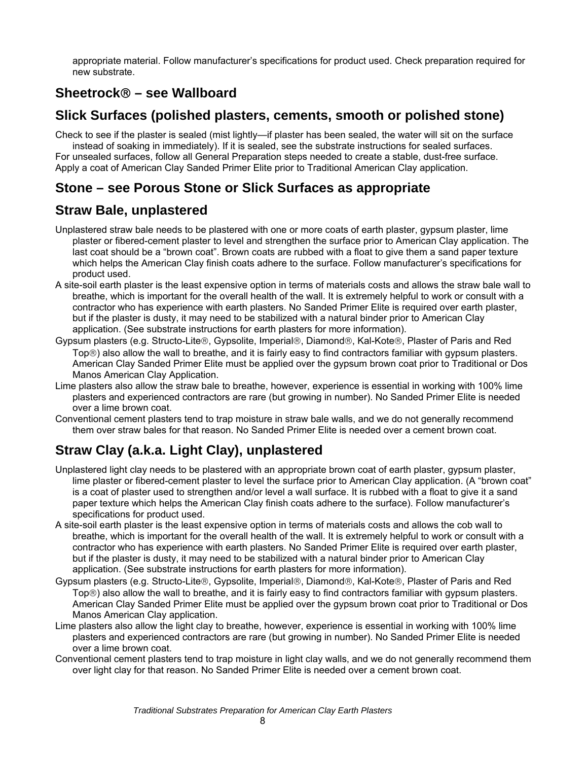<span id="page-7-0"></span>appropriate material. Follow manufacturer's specifications for product used. Check preparation required for new substrate.

#### **Sheetrock**® **– see Wallboard**

#### **Slick Surfaces (polished plasters, cements, smooth or polished stone)**

Check to see if the plaster is sealed (mist lightly—if plaster has been sealed, the water will sit on the surface instead of soaking in immediately). If it is sealed, see the substrate instructions for sealed surfaces. For unsealed surfaces, follow all General Preparation steps needed to create a stable, dust-free surface. Apply a coat of American Clay Sanded Primer Elite prior to Traditional American Clay application.

#### **Stone – see Porous Stone or Slick Surfaces as appropriate**

#### **Straw Bale, unplastered**

- Unplastered straw bale needs to be plastered with one or more coats of earth plaster, gypsum plaster, lime plaster or fibered-cement plaster to level and strengthen the surface prior to American Clay application. The last coat should be a "brown coat". Brown coats are rubbed with a float to give them a sand paper texture which helps the American Clay finish coats adhere to the surface. Follow manufacturer's specifications for product used.
- A site-soil earth plaster is the least expensive option in terms of materials costs and allows the straw bale wall to breathe, which is important for the overall health of the wall. It is extremely helpful to work or consult with a contractor who has experience with earth plasters. No Sanded Primer Elite is required over earth plaster, but if the plaster is dusty, it may need to be stabilized with a natural binder prior to American Clay application. (See substrate instructions for earth plasters for more information).
- Gypsum plasters (e.g. Structo-Lite®, Gypsolite, Imperial®, Diamond®, Kal-Kote®, Plaster of Paris and Red Top®) also allow the wall to breathe, and it is fairly easy to find contractors familiar with gypsum plasters. American Clay Sanded Primer Elite must be applied over the gypsum brown coat prior to Traditional or Dos Manos American Clay Application.
- Lime plasters also allow the straw bale to breathe, however, experience is essential in working with 100% lime plasters and experienced contractors are rare (but growing in number). No Sanded Primer Elite is needed over a lime brown coat.
- Conventional cement plasters tend to trap moisture in straw bale walls, and we do not generally recommend them over straw bales for that reason. No Sanded Primer Elite is needed over a cement brown coat.

## **Straw Clay (a.k.a. Light Clay), unplastered**

- Unplastered light clay needs to be plastered with an appropriate brown coat of earth plaster, gypsum plaster, lime plaster or fibered-cement plaster to level the surface prior to American Clay application. (A "brown coat" is a coat of plaster used to strengthen and/or level a wall surface. It is rubbed with a float to give it a sand paper texture which helps the American Clay finish coats adhere to the surface). Follow manufacturer's specifications for product used.
- A site-soil earth plaster is the least expensive option in terms of materials costs and allows the cob wall to breathe, which is important for the overall health of the wall. It is extremely helpful to work or consult with a contractor who has experience with earth plasters. No Sanded Primer Elite is required over earth plaster, but if the plaster is dusty, it may need to be stabilized with a natural binder prior to American Clay application. (See substrate instructions for earth plasters for more information).
- Gypsum plasters (e.g. Structo-Lite®, Gypsolite, Imperial®, Diamond®, Kal-Kote®, Plaster of Paris and Red Top®) also allow the wall to breathe, and it is fairly easy to find contractors familiar with gypsum plasters. American Clay Sanded Primer Elite must be applied over the gypsum brown coat prior to Traditional or Dos Manos American Clay application.
- Lime plasters also allow the light clay to breathe, however, experience is essential in working with 100% lime plasters and experienced contractors are rare (but growing in number). No Sanded Primer Elite is needed over a lime brown coat.
- Conventional cement plasters tend to trap moisture in light clay walls, and we do not generally recommend them over light clay for that reason. No Sanded Primer Elite is needed over a cement brown coat.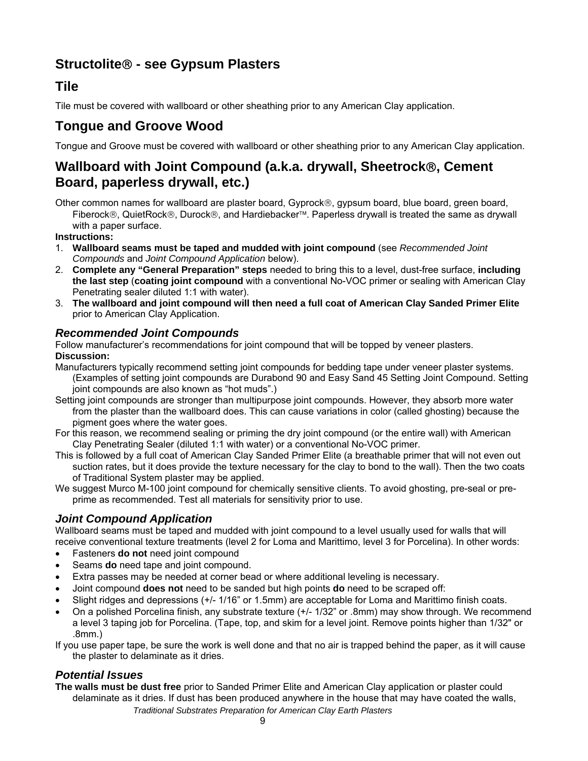## <span id="page-8-0"></span>**Structolite**® **- see Gypsum Plasters**

#### **Tile**

Tile must be covered with wallboard or other sheathing prior to any American Clay application.

## **Tongue and Groove Wood**

Tongue and Groove must be covered with wallboard or other sheathing prior to any American Clay application.

#### **Wallboard with Joint Compound (a.k.a. drywall, Sheetrock**®**, Cement Board, paperless drywall, etc.)**

Other common names for wallboard are plaster board, Gyprock®, gypsum board, blue board, green board, Fiberock®, QuietRock®, Durock®, and Hardiebacker™. Paperless drywall is treated the same as drywall with a paper surface.

**Instructions:** 

- 1. **Wallboard seams must be taped and mudded with joint compound** (see *Recommended Joint Compounds* and *Joint Compound Application* below).
- 2. **Complete any "General Preparation" steps** needed to bring this to a level, dust-free surface, **including the last step** (**coating joint compound** with a conventional No-VOC primer or sealing with American Clay Penetrating sealer diluted 1:1 with water).
- 3. **The wallboard and joint compound will then need a full coat of American Clay Sanded Primer Elite** prior to American Clay Application.

#### *Recommended Joint Compounds*

Follow manufacturer's recommendations for joint compound that will be topped by veneer plasters. **Discussion:** 

- Manufacturers typically recommend setting joint compounds for bedding tape under veneer plaster systems. (Examples of setting joint compounds are Durabond 90 and Easy Sand 45 Setting Joint Compound. Setting joint compounds are also known as "hot muds".)
- Setting joint compounds are stronger than multipurpose joint compounds. However, they absorb more water from the plaster than the wallboard does. This can cause variations in color (called ghosting) because the pigment goes where the water goes.
- For this reason, we recommend sealing or priming the dry joint compound (or the entire wall) with American Clay Penetrating Sealer (diluted 1:1 with water) or a conventional No-VOC primer.
- This is followed by a full coat of American Clay Sanded Primer Elite (a breathable primer that will not even out suction rates, but it does provide the texture necessary for the clay to bond to the wall). Then the two coats of Traditional System plaster may be applied.
- We suggest Murco M-100 joint compound for chemically sensitive clients. To avoid ghosting, pre-seal or preprime as recommended. Test all materials for sensitivity prior to use.

#### *Joint Compound Application*

Wallboard seams must be taped and mudded with joint compound to a level usually used for walls that will receive conventional texture treatments (level 2 for Loma and Marittimo, level 3 for Porcelina). In other words:

- Fasteners **do not** need joint compound
- Seams **do** need tape and joint compound.
- Extra passes may be needed at corner bead or where additional leveling is necessary.
- Joint compound **does not** need to be sanded but high points **do** need to be scraped off:
- Slight ridges and depressions (+/- 1/16" or 1.5mm) are acceptable for Loma and Marittimo finish coats.
- On a polished Porcelina finish, any substrate texture (+/- 1/32" or .8mm) may show through. We recommend a level 3 taping job for Porcelina. (Tape, top, and skim for a level joint. Remove points higher than 1/32" or .8mm.)

If you use paper tape, be sure the work is well done and that no air is trapped behind the paper, as it will cause the plaster to delaminate as it dries.

#### *Potential Issues*

*Traditional Substrates Preparation for American Clay Earth Plasters*  **The walls must be dust free** prior to Sanded Primer Elite and American Clay application or plaster could delaminate as it dries. If dust has been produced anywhere in the house that may have coated the walls,